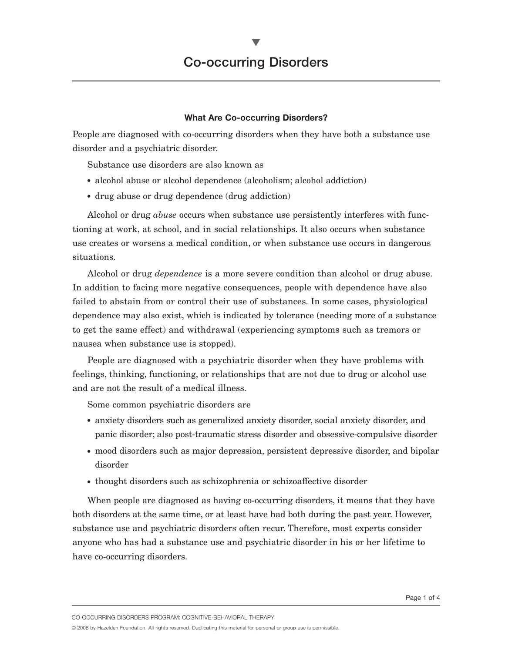#### **What Are Co-occurring Disorders?**

People are diagnosed with co-occurring disorders when they have both a substance use disorder and a psychiatric disorder.

Substance use disorders are also known as

- alcohol abuse or alcohol dependence (alcoholism; alcohol addiction)
- drug abuse or drug dependence (drug addiction)

Alcohol or drug *abuse* occurs when substance use persistently interferes with functioning at work, at school, and in social relationships. It also occurs when substance use creates or worsens a medical condition, or when substance use occurs in dangerous situations.

Alcohol or drug *dependence* is a more severe condition than alcohol or drug abuse. In addition to facing more negative consequences, people with dependence have also failed to abstain from or control their use of substances. In some cases, physiological dependence may also exist, which is indicated by tolerance (needing more of a substance to get the same effect) and withdrawal (experiencing symptoms such as tremors or nausea when substance use is stopped).

People are diagnosed with a psychiatric disorder when they have problems with feelings, thinking, functioning, or relationships that are not due to drug or alcohol use and are not the result of a medical illness.

Some common psychiatric disorders are

- anxiety disorders such as generalized anxiety disorder, social anxiety disorder, and panic disorder; also post-traumatic stress disorder and obsessive-compulsive disorder
- mood disorders such as major depression, persistent depressive disorder, and bipolar disorder
- thought disorders such as schizophrenia or schizoaffective disorder

When people are diagnosed as having co-occurring disorders, it means that they have both disorders at the same time, or at least have had both during the past year. However, substance use and psychiatric disorders often recur. Therefore, most experts consider anyone who has had a substance use and psychiatric disorder in his or her lifetime to have co-occurring disorders.

CO-OCCURRING DISORDERS PROGRAM: COGNITIVE-BEHAVIORAL THERAPY

© 2008 by Hazelden Foundation. All rights reserved. Duplicating this material for personal or group use is permissible.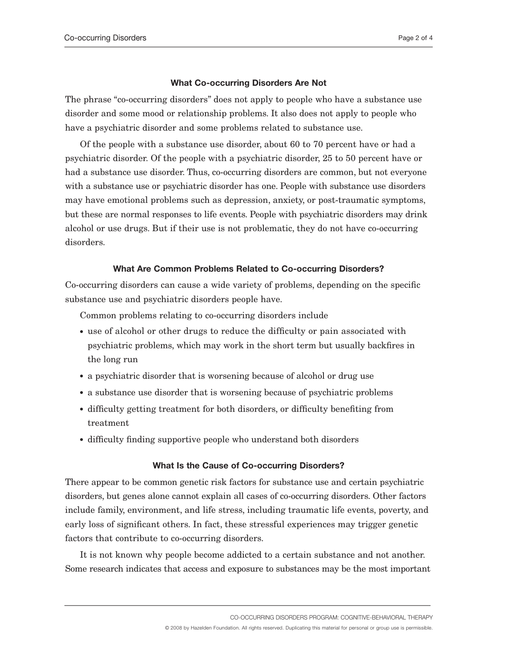#### **What Co-occurring Disorders Are Not**

The phrase "co-occurring disorders" does not apply to people who have a substance use disorder and some mood or relationship problems. It also does not apply to people who have a psychiatric disorder and some problems related to substance use.

Of the people with a substance use disorder, about 60 to 70 percent have or had a psychiatric disorder. Of the people with a psychiatric disorder, 25 to 50 percent have or had a substance use disorder. Thus, co-occurring disorders are common, but not everyone with a substance use or psychiatric disorder has one. People with substance use disorders may have emotional problems such as depression, anxiety, or post-traumatic symptoms, but these are normal responses to life events. People with psychiatric disorders may drink alcohol or use drugs. But if their use is not problematic, they do not have co-occurring disorders.

# **What Are Common Problems Related to Co-occurring Disorders?**

Co-occurring disorders can cause a wide variety of problems, depending on the specific substance use and psychiatric disorders people have.

Common problems relating to co-occurring disorders include

- use of alcohol or other drugs to reduce the difficulty or pain associated with psychiatric problems, which may work in the short term but usually backfires in the long run
- a psychiatric disorder that is worsening because of alcohol or drug use
- a substance use disorder that is worsening because of psychiatric problems
- difficulty getting treatment for both disorders, or difficulty benefiting from treatment
- difficulty finding supportive people who understand both disorders

# **What Is the Cause of Co-occurring Disorders?**

There appear to be common genetic risk factors for substance use and certain psychiatric disorders, but genes alone cannot explain all cases of co-occurring disorders. Other factors include family, environment, and life stress, including traumatic life events, poverty, and early loss of significant others. In fact, these stressful experiences may trigger genetic factors that contribute to co-occurring disorders.

It is not known why people become addicted to a certain substance and not another. Some research indicates that access and exposure to substances may be the most important

CO-OCCURRING DISORDERS PROGRAM: COGNITIVE-BEHAVIORAL THERAPY

© 2008 by Hazelden Foundation. All rights reserved. Duplicating this material for personal or group use is permissible.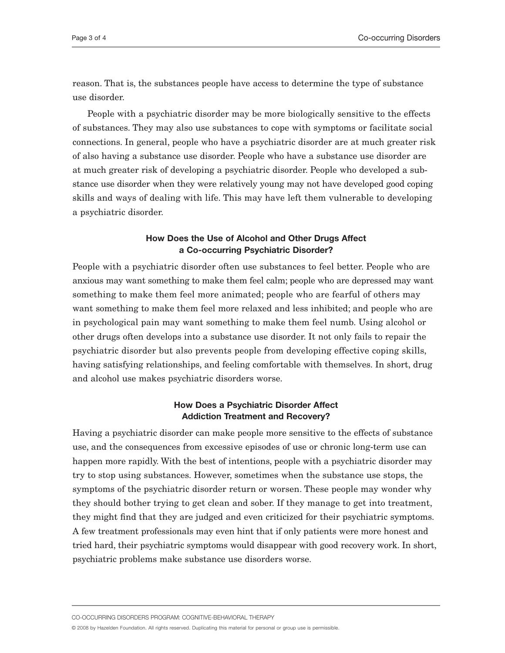reason. That is, the substances people have access to determine the type of substance use disorder.

People with a psychiatric disorder may be more biologically sensitive to the effects of substances. They may also use substances to cope with symptoms or facilitate social connections. In general, people who have a psychiatric disorder are at much greater risk of also having a substance use disorder. People who have a substance use disorder are at much greater risk of developing a psychiatric disorder. People who developed a substance use disorder when they were relatively young may not have developed good coping skills and ways of dealing with life. This may have left them vulnerable to developing a psychiatric disorder.

## **How Does the Use of Alcohol and Other Drugs Affect a Co-occurring Psychiatric Disorder?**

People with a psychiatric disorder often use substances to feel better. People who are anxious may want something to make them feel calm; people who are depressed may want something to make them feel more animated; people who are fearful of others may want something to make them feel more relaxed and less inhibited; and people who are in psychological pain may want something to make them feel numb. Using alcohol or other drugs often develops into a substance use disorder. It not only fails to repair the psychiatric disorder but also prevents people from developing effective coping skills, having satisfying relationships, and feeling comfortable with themselves. In short, drug and alcohol use makes psychiatric disorders worse.

# **How Does a Psychiatric Disorder Affect Addiction Treatment and Recovery?**

Having a psychiatric disorder can make people more sensitive to the effects of substance use, and the consequences from excessive episodes of use or chronic long-term use can happen more rapidly. With the best of intentions, people with a psychiatric disorder may try to stop using substances. However, sometimes when the substance use stops, the symptoms of the psychiatric disorder return or worsen. These people may wonder why they should bother trying to get clean and sober. If they manage to get into treatment, they might find that they are judged and even criticized for their psychiatric symptoms. A few treatment professionals may even hint that if only patients were more honest and tried hard, their psychiatric symptoms would disappear with good recovery work. In short, psychiatric problems make substance use disorders worse.

CO-OCCURRING DISORDERS PROGRAM: COGNITIVE-BEHAVIORAL THERAPY

© 2008 by Hazelden Foundation. All rights reserved. Duplicating this material for personal or group use is permissible.